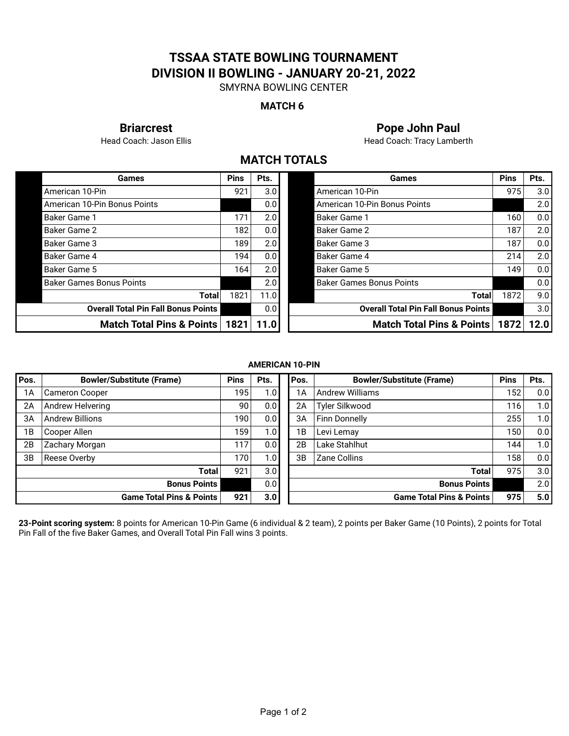# **TSSAA STATE BOWLING TOURNAMENT DIVISION II BOWLING - JANUARY 20-21, 2022**

SMYRNA BOWLING CENTER

#### **MATCH 6**

**Briarcrest Pope John Paul**

Head Coach: Jason Ellis **Head Coach: Tracy Lamberth** 

## **MATCH TOTALS**

| Games                                      | <b>Pins</b> | Pts.             |  | Games                                      | <b>Pins</b> | Pts. |
|--------------------------------------------|-------------|------------------|--|--------------------------------------------|-------------|------|
| American 10-Pin                            | 921         | 3.0 <sub>l</sub> |  | American 10-Pin                            | 975         | 3.0  |
| American 10-Pin Bonus Points               |             | 0.01             |  | American 10-Pin Bonus Points               |             | 2.0  |
| <b>Baker Game 1</b>                        | 171         | 2.0              |  | Baker Game 1                               | 160 l       | 0.0  |
| Baker Game 2                               | 182         | 0.0 <sub>1</sub> |  | Baker Game 2                               | 187         | 2.0  |
| <b>Baker Game 3</b>                        | 189         | 2.0              |  | Baker Game 3                               | 187         | 0.0  |
| Baker Game 4                               | 194         | 0.0 <sub>1</sub> |  | Baker Game 4                               | 214         | 2.0  |
| <b>Baker Game 5</b>                        | 164         | 2.0 <sub>1</sub> |  | Baker Game 5                               | 149         | 0.0  |
| <b>Baker Games Bonus Points</b>            |             | 2.0 <sub>1</sub> |  | <b>Baker Games Bonus Points</b>            |             | 0.0  |
| <b>Total</b>                               | 1821        | 11.0             |  | Total                                      | 1872        | 9.0  |
| <b>Overall Total Pin Fall Bonus Points</b> |             | 0.0              |  | <b>Overall Total Pin Fall Bonus Points</b> |             | 3.0  |
| Match Total Pins & Points                  | 1821   11.0 |                  |  | Match Total Pins & Points                  | 1872        | 12.0 |

| <b>Games</b>                               | <b>Pins</b> | Pts. | Games                                      | <b>Pins</b> | Pts.             |
|--------------------------------------------|-------------|------|--------------------------------------------|-------------|------------------|
| 0-Pin                                      | 921         | 3.0  | American 10-Pin                            | 975         | 3.0 <sub>1</sub> |
| 0-Pin Bonus Points                         |             | 0.0  | American 10-Pin Bonus Points               |             | 2.0              |
| 1 ڍ                                        | 171         | 2.0  | <b>Baker Game 1</b>                        | 160         | 0.0              |
| $\geq 2$                                   | 182         | 0.0  | <b>Baker Game 2</b>                        | 187         | 2.0              |
| $\geq 3$                                   | 189         | 2.0  | <b>Baker Game 3</b>                        | 187         | 0.0              |
| $\geq 4$                                   | 194         | 0.0  | <b>Baker Game 4</b>                        | 214         | 2.0              |
| $\overline{5}$                             | 164         | 2.0  | <b>Baker Game 5</b>                        | 149         | 0.0              |
| es Bonus Points                            |             | 2.0  | <b>Baker Games Bonus Points</b>            |             | 0.0              |
| Total                                      | 1821        | 11.0 | <b>Total</b>                               | 1872        | 9.0              |
| <b>Overall Total Pin Fall Bonus Points</b> |             | 0.0  | <b>Overall Total Pin Fall Bonus Points</b> |             | 3.0 <sub>1</sub> |
| Match Total Pins & Points                  | 1821        | 11.0 | <b>Match Total Pins &amp; Points</b>       | 1872        | 12.0             |

#### **AMERICAN 10-PIN**

| Pos. | <b>Bowler/Substitute (Frame)</b>    | <b>Pins</b>     | Pts.             | Pos. | <b>Bowler/Substitute (Frame)</b>    | <b>Pins</b>      | Pts. |
|------|-------------------------------------|-----------------|------------------|------|-------------------------------------|------------------|------|
| 1А   | <b>Cameron Cooper</b>               | 195             | 1.0 <sub>1</sub> | 1A   | <b>Andrew Williams</b>              | 152 <sub>1</sub> | 0.0  |
| 2A   | Andrew Helvering                    | 90 <sub>1</sub> | 0.0 <sub>1</sub> | 2A   | Tyler Silkwood                      | 116              | 1.0  |
| 3A   | <b>Andrew Billions</b>              | 190             | 0.0 <sub>1</sub> | 3A   | <b>Finn Donnelly</b>                | 255              | 1.0  |
| 1 B  | Cooper Allen                        | 159             | 1.0 <sub>l</sub> | 1B   | Levi Lemay                          | 150              | 0.0  |
| 2B   | Zachary Morgan                      | 1171            | 0.0 <sub>1</sub> | 2B   | Lake Stahlhut                       | 144              | 1.0  |
| 3B   | Reese Overby                        | 170             | 1.0 <sub>l</sub> | 3B   | Zane Collins                        | 158 <sub>1</sub> | 0.0  |
|      | <b>Total</b>                        | 921             | 3.0 <sub>l</sub> |      | <b>Total</b>                        | 975              | 3.0  |
|      | <b>Bonus Points</b>                 |                 | 0.0 <sub>1</sub> |      | <b>Bonus Points</b>                 |                  | 2.0  |
|      | <b>Game Total Pins &amp; Points</b> | 921             | 3.0              |      | <b>Game Total Pins &amp; Points</b> | 975              | 5.0  |

**23-Point scoring system:** 8 points for American 10-Pin Game (6 individual & 2 team), 2 points per Baker Game (10 Points), 2 points for Total Pin Fall of the five Baker Games, and Overall Total Pin Fall wins 3 points.